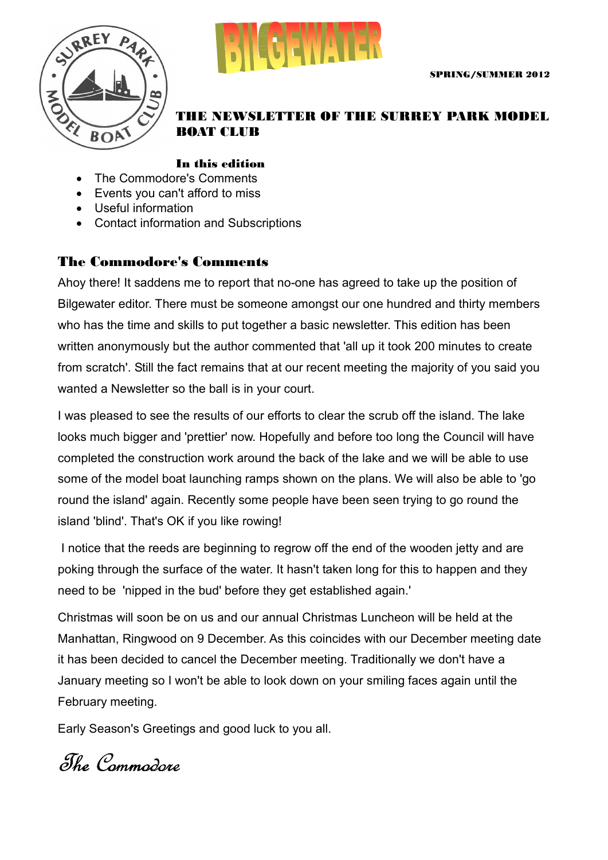



#### THE NEWSLETTER OF THE SURREY PARK MODEL BOAT CLUB

#### In this edition

- The Commodore's Comments
- Events you can't afford to miss
- Useful information
- Contact information and Subscriptions

#### The Commodore's Comments

Ahoy there! It saddens me to report that no-one has agreed to take up the position of Bilgewater editor. There must be someone amongst our one hundred and thirty members who has the time and skills to put together a basic newsletter. This edition has been written anonymously but the author commented that 'all up it took 200 minutes to create from scratch'. Still the fact remains that at our recent meeting the majority of you said you wanted a Newsletter so the ball is in your court.

I was pleased to see the results of our efforts to clear the scrub off the island. The lake looks much bigger and 'prettier' now. Hopefully and before too long the Council will have completed the construction work around the back of the lake and we will be able to use some of the model boat launching ramps shown on the plans. We will also be able to 'go round the island' again. Recently some people have been seen trying to go round the island 'blind'. That's OK if you like rowing!

I notice that the reeds are beginning to regrow off the end of the wooden jetty and are poking through the surface of the water. It hasn't taken long for this to happen and they need to be 'nipped in the bud' before they get established again.'

Christmas will soon be on us and our annual Christmas Luncheon will be held at the Manhattan, Ringwood on 9 December. As this coincides with our December meeting date it has been decided to cancel the December meeting. Traditionally we don't have a January meeting so I won't be able to look down on your smiling faces again until the February meeting.

Early Season's Greetings and good luck to you all.

The Commodore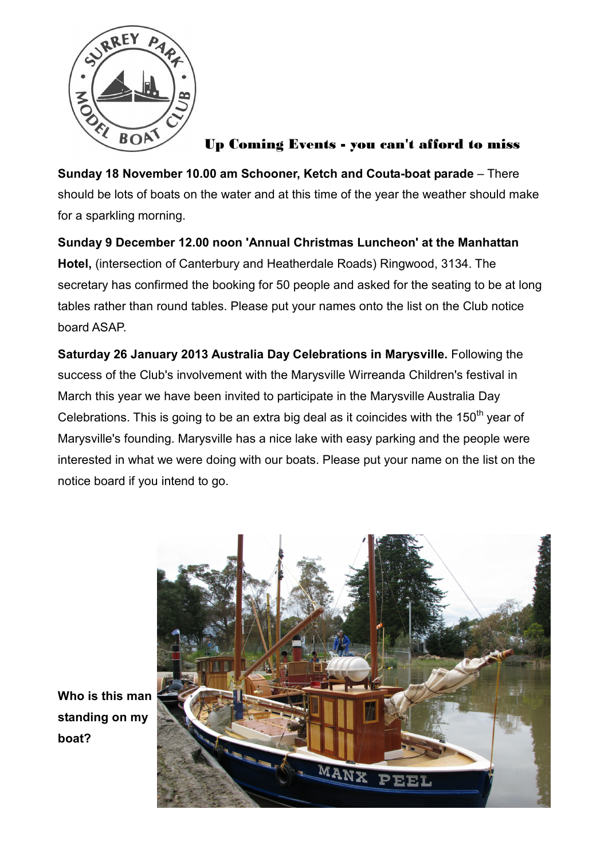

### Up Coming Events - you can't afford to miss

**Sunday 18 November 10.00 am Schooner, Ketch and Couta-boat parade** – There should be lots of boats on the water and at this time of the year the weather should make for a sparkling morning.

**Sunday 9 December 12.00 noon 'Annual Christmas Luncheon' at the Manhattan Hotel,** (intersection of Canterbury and Heatherdale Roads) Ringwood, 3134. The secretary has confirmed the booking for 50 people and asked for the seating to be at long tables rather than round tables. Please put your names onto the list on the Club notice board ASAP.

**Saturday 26 January 2013 Australia Day Celebrations in Marysville.** Following the success of the Club's involvement with the Marysville Wirreanda Children's festival in March this year we have been invited to participate in the Marysville Australia Day Celebrations. This is going to be an extra big deal as it coincides with the  $150<sup>th</sup>$  year of Marysville's founding. Marysville has a nice lake with easy parking and the people were interested in what we were doing with our boats. Please put your name on the list on the notice board if you intend to go.



**Who is this man standing on my boat?**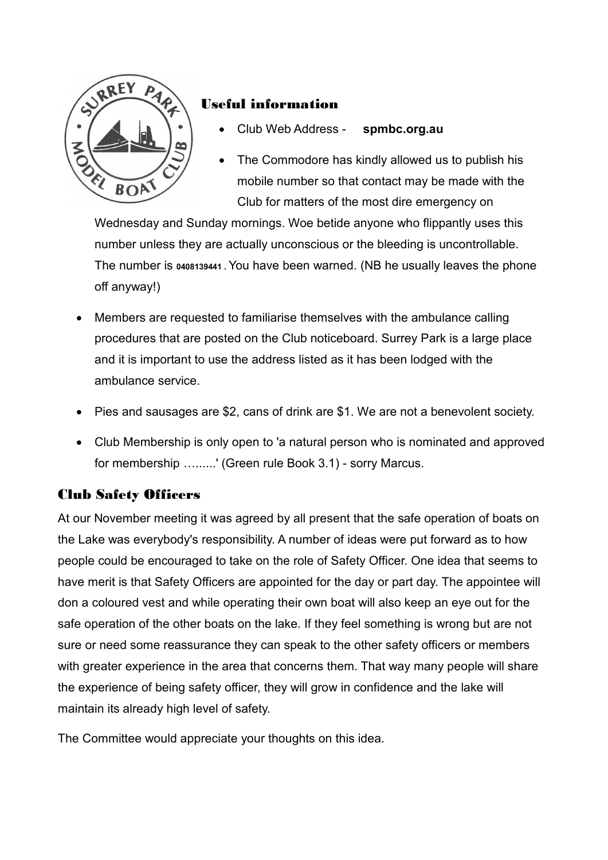

## Useful information

- Club Web Address **spmbc.org.au**
- The Commodore has kindly allowed us to publish his mobile number so that contact may be made with the Club for matters of the most dire emergency on

Wednesday and Sunday mornings. Woe betide anyone who flippantly uses this number unless they are actually unconscious or the bleeding is uncontrollable. The number is **0408139441 .** You have been warned. (NB he usually leaves the phone off anyway!)

- Members are requested to familiarise themselves with the ambulance calling procedures that are posted on the Club noticeboard. Surrey Park is a large place and it is important to use the address listed as it has been lodged with the ambulance service.
- Pies and sausages are \$2, cans of drink are \$1. We are not a benevolent society.
- Club Membership is only open to 'a natural person who is nominated and approved for membership ........' (Green rule Book 3.1) - sorry Marcus.

### Club Safety Officers

At our November meeting it was agreed by all present that the safe operation of boats on the Lake was everybody's responsibility. A number of ideas were put forward as to how people could be encouraged to take on the role of Safety Officer. One idea that seems to have merit is that Safety Officers are appointed for the day or part day. The appointee will don a coloured vest and while operating their own boat will also keep an eye out for the safe operation of the other boats on the lake. If they feel something is wrong but are not sure or need some reassurance they can speak to the other safety officers or members with greater experience in the area that concerns them. That way many people will share the experience of being safety officer, they will grow in confidence and the lake will maintain its already high level of safety.

The Committee would appreciate your thoughts on this idea.